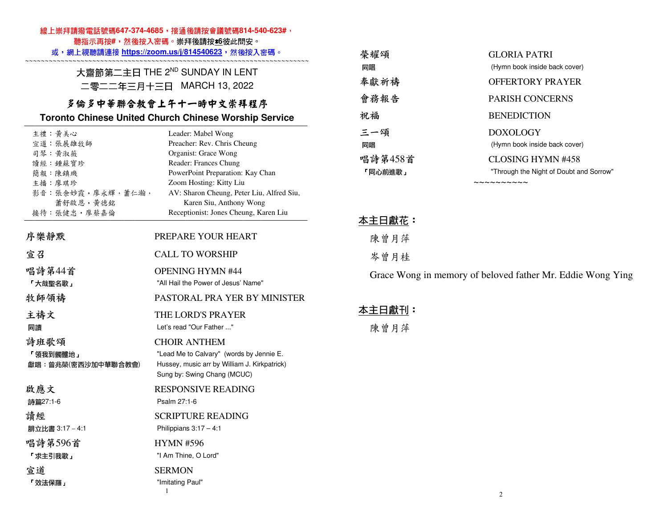### 線上崇拜請撥電話號碼647-374-4685,接通後請按會議號碼814-540-623#,

聽指示再按**#**,然後按入密碼。崇拜後請按\***6**彼此問安。

| 或,網上視聽請連接 https://zoom.us/j/814540623,然後按入密碼。                                                                     |                                                                                                                         | 榮耀頌             | <b>GLORIA PATRI</b>                                        |
|-------------------------------------------------------------------------------------------------------------------|-------------------------------------------------------------------------------------------------------------------------|-----------------|------------------------------------------------------------|
| 大齋節第二主日 THE 2ND SUNDAY IN LENT                                                                                    |                                                                                                                         | 同唱              | (Hymn book inside back cover)                              |
| 二零二二年三月十三日 MARCH 13, 2022<br>多倫多中華聯合教會上午十一時中文崇拜程序<br><b>Toronto Chinese United Church Chinese Worship Service</b> |                                                                                                                         | 奉獻祈禱            | <b>OFFERTORY PRAYER</b>                                    |
|                                                                                                                   |                                                                                                                         | 會務報告            | PARISH CONCERNS                                            |
|                                                                                                                   |                                                                                                                         | 祝福              | <b>BENEDICTION</b>                                         |
| 主禮:黃美心                                                                                                            | Leader: Mabel Wong                                                                                                      | 三一頌             | <b>DOXOLOGY</b>                                            |
| 宣道:張展雄牧師<br>司琴 黄淑薇                                                                                                | Preacher: Rev. Chris Cheung<br>Organist: Grace Wong                                                                     | 同唱              | (Hymn book inside back cover)                              |
| 讀經:鍾蘇寶珍                                                                                                           | Reader: Frances Chung                                                                                                   | 唱詩第458首         | <b>CLOSING HYMN #458</b>                                   |
| 簡報 陳鎮璣                                                                                                            | PowerPoint Preparation: Kay Chan                                                                                        | 「同心前進歌」         | "Through the Night of Doubt and Sorrow"                    |
| 主播 廖琪珍<br>影音:張余妙霞,廖永輝,蕭仁瀚,<br>蕭舒啟恩,黃德銘                                                                            | Zoom Hosting: Kitty Liu<br>AV: Sharon Cheung, Peter Liu, Alfred Siu,<br>Karen Siu, Anthony Wong                         |                 | ~~~~~~~~~~                                                 |
| 接待:張健忠,廖蔡嘉倫                                                                                                       | Receptionist: Jones Cheung, Karen Liu                                                                                   | <u> 本主日獻花</u> : |                                                            |
| 序樂靜默                                                                                                              | PREPARE YOUR HEART                                                                                                      | 陳曾月萍            |                                                            |
| 宣召                                                                                                                | <b>CALL TO WORSHIP</b>                                                                                                  | 岑曾月桂            |                                                            |
| 唱詩第44首<br>「大哉聖名歌」                                                                                                 | <b>OPENING HYMN #44</b><br>"All Hail the Power of Jesus' Name"                                                          |                 | Grace Wong in memory of beloved father Mr. Eddie Wong Ying |
| 牧師領禱                                                                                                              | PASTORAL PRA YER BY MINISTER                                                                                            |                 |                                                            |
| 主禱文                                                                                                               | THE LORD'S PRAYER                                                                                                       | 本主日獻刊:          |                                                            |
| 同讀                                                                                                                | Let's read "Our Father "                                                                                                | 陳曾月萍            |                                                            |
| 詩班歌頌                                                                                                              | <b>CHOIR ANTHEM</b>                                                                                                     |                 |                                                            |
| 「領我到髑髏地」<br>獻唱: 曾兆榮(密西沙加中華聯合教會)                                                                                   | "Lead Me to Calvary" (words by Jennie E.<br>Hussey, music arr by William J. Kirkpatrick)<br>Sung by: Swing Chang (MCUC) |                 |                                                            |
| 啟應文<br>詩篇27:1-6                                                                                                   | <b>RESPONSIVE READING</b><br>Psalm 27:1-6                                                                               |                 |                                                            |
| 讀經<br>腓立比書 3:17-4:1                                                                                               | <b>SCRIPTURE READING</b><br>Philippians $3:17-4:1$                                                                      |                 |                                                            |
| 唱詩第596首<br>「求主引我歌」                                                                                                | <b>HYMN #596</b><br>"I Am Thine, O Lord"                                                                                |                 |                                                            |
| 宣道<br>「效法保羅」                                                                                                      | <b>SERMON</b><br>"Imitating Paul"                                                                                       |                 |                                                            |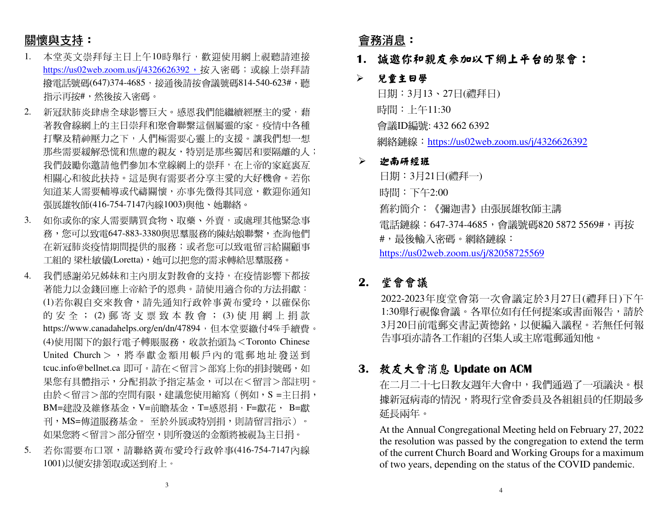# 關懷與支持:

- 1. 本堂英文崇拜每主日上午10時舉行,歡迎使用網上視聽請連接<u>https://us02web.zoom.us/j/4326626392,</u>按入密碼;或線上崇拜請 撥電話號碼(647)374-4685,接通後請按會議號碼814-540-623#,聽 指示再按#,然後按入密碼。
- 2. 新冠狀肺炎肆虐全球影響巨大。感恩我們能繼續經歷主的愛,藉 著教會線網上的主日崇拜和聚會聯繫這個屬靈的家。疫情中各種 打擊及精神壓力之下,人們極需要心靈上的支援。讓我們想一想那些需要緩解恐慌和焦慮的親友,特別是那些獨居和要隔離的人; 我們鼓勵你邀請他們參加本堂線網上的崇拜,在上帝的家庭裏亙 相關心和彼此扶持。這是與有需要者分享主愛的大好機會。若你 知道某人需要輔導或代禱關懷,亦事先徵得其同意,歡迎你通知張展雄牧師(416-754-7147內線1003)與他、她聯絡。
- 3. 如你或你的家人需要購買食物、取藥、外賣,或處理其他緊急事 務,您可以致電647-883-3380與思羣服務的陳姑娘聯繫,查詢他們 在新冠肺炎疫情期間提供的服務;或者您可以致電留言給關顧事 工組的 梁杜敏儀(Loretta),她可以把您的需求轉給思羣服務。
- 4. 我們感謝弟兄姊妹和主內朋友對教會的支持,在疫情影響下都按 著能力以金錢回應上帝給予的恩典。請使用適合你的方法捐獻: (1)若你親自交來教會,請先通知行政幹事黃布愛玲,以確保你 的 安 全 ; (2) 郵 寄 支 票 致 本 教 會 ; (3) 使 用 網 上 捐 款<br>https://www.concelabalac.com/or/dr/47904,但本常要继仕400手続要 https://www.canadahelps.org/en/dn/47894,但本堂要繳付4%手續費。 (4)使用閣下的銀行電子轉賬服務,收款抬頭為<Toronto Chinese United Church> , <sup>將</sup> <sup>奉</sup> <sup>獻</sup> <sup>金</sup> 額用 <sup>帳</sup> <sup>戶</sup> <sup>內</sup> <sup>的</sup> <sup>電</sup> <sup>郵</sup> <sup>地</sup> <sup>址</sup> <sup>發</sup> <sup>送</sup> <sup>到</sup> tcuc.info@bellnet.ca 即可。請在<留言>部寫上你的捐封號碼,如 果您有具體指示,分配捐款予指定基金,可以在<留言>部註明。由於<留言>部的空間有限,建議您使用縮寫(例如,S =主日捐, BM=建設及維修基金,V=前瞻基金,T=感恩捐,F=獻花, B=獻 刊,MS=傳道服務基金。 至於外展或特別捐,則請留言指示)。<br>加思你喀ィ留言、認八兒空。 則印発送始へ經喀地泪为六日坦。 如果您將<留言>部分留空,則所發送的金額將被視為主日捐。
- 5. 若你需要布口罩,請聯絡黃布愛玲行政幹事(416-754-7147內線1001)以便安排領取或送到府上。

## 會務消息:

- **1.** 誠邀你和親友參加以下網上平台的聚會:
- $\blacktriangleright$ 兒童主日學

日期:3月13、27日(禮拜日) 時間:上午11:30 會議ID編號: 432 662 6392 網絡鏈線:https://us02web.zoom.us/j/4326626392

#### $\blacktriangleright$ 迦南研經班

日期:3月21日(禮拜一) 時間:下午2:00 舊約簡介:《彌迦書》由張展雄牧師主講電話鏈線:647-374-4685,會議號碼820 5872 5569#,再按 #,最後輸入密碼。網絡鏈線:https://us02web.zoom.us/j/82058725569

## **2.** 堂會會議

 2022-2023年度堂會第一次會議定於3月27日(禮拜日)下午 1:30舉行視像會議。各單位如有任何提案或書面報告,請於 3月20日前電郵交書記黃德銘,以便編入議程。若無任何報告事項亦請各工作組的召集人或主席電郵通知他。

## **3.** 教友大會消息 **Update on ACM**

在二月二十七日教友週年大會中,我們通過了一項議決。根據新冠病毒的情況,將現行堂會委員及各組組員的任期最多 延長兩年。

 At the Annual Congregational Meeting held on February 27, 2022 the resolution was passed by the congregation to extend the term of the current Church Board and Working Groups for a maximum of two years, depending on the status of the COVID pandemic.